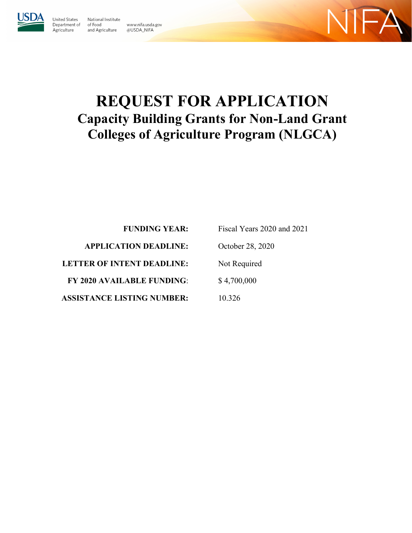

Agriculture

Jnited States National Institute Department of of Food and Agriculture

www.nifa.usda.gov

@USDA\_NIFA



# **REQUEST FOR APPLICATION Capacity Building Grants for Non-Land Grant Colleges of Agriculture Program (NLGCA)**

**FUNDING YEAR: APPLICATION DEADLINE: LETTER OF INTENT DEADLINE: FY 2020 AVAILABLE FUNDING**: **ASSISTANCE LISTING NUMBER:** 10.326

Fiscal Years 2020 and 2021 October 28, 2020 Not Required \$ 4,700,000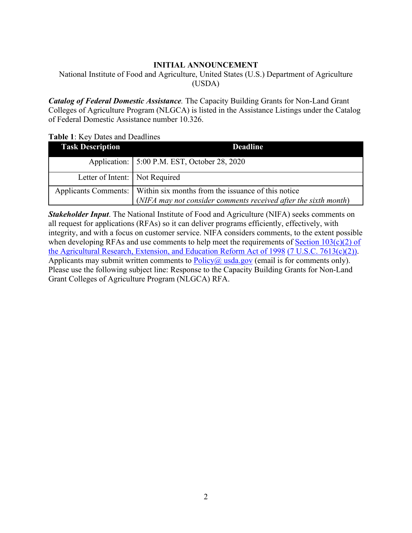#### **INITIAL ANNOUNCEMENT**

<span id="page-1-0"></span>National Institute of Food and Agriculture, United States (U.S.) Department of Agriculture (USDA)

*Catalog of Federal Domestic Assistance.* The Capacity Building Grants for Non-Land Grant Colleges of Agriculture Program (NLGCA) is listed in the Assistance Listings under the Catalog of Federal Domestic Assistance number 10.326.

#### <span id="page-1-1"></span>**Table 1**: Key Dates and Deadlines

| <b>Task Description</b>                                                   | <b>Deadline</b>                                                 |
|---------------------------------------------------------------------------|-----------------------------------------------------------------|
|                                                                           | Application:   5:00 P.M. EST, October 28, 2020                  |
| Letter of Intent:   Not Required                                          |                                                                 |
| Applicants Comments:   Within six months from the issuance of this notice |                                                                 |
|                                                                           | (NIFA may not consider comments received after the sixth month) |

*Stakeholder Input*. The National Institute of Food and Agriculture (NIFA) seeks comments on all request for applications (RFAs) so it can deliver programs efficiently, effectively, with integrity, and with a focus on customer service. NIFA considers comments, to the extent possible when developing RFAs and use comments to help meet the requirements of Section  $103(c)(2)$  of [the Agricultural Research, Extension, and Education Reform Act of 1998](https://nifa.usda.gov/sites/default/files/resource/Agricultural%20Research%2C%20Extension%2C%20and%20Education%20Reform%20Act%20of%20%201998.pdf) [\(7 U.S.C. 7613\(c\)\(2\)\).](https://nifa.usda.gov/sites/default/files/resource/Agricultural%20Research%2C%20Extension%2C%20and%20Education%20Reform%20Act%20of%20%201998.pdf) Applicants may submit written comments to  $Policy@$  [usda.gov](mailto:Policy@nifa.usda.gov) (email is for comments only). Please use the following subject line: Response to the Capacity Building Grants for Non-Land Grant Colleges of Agriculture Program (NLGCA) RFA.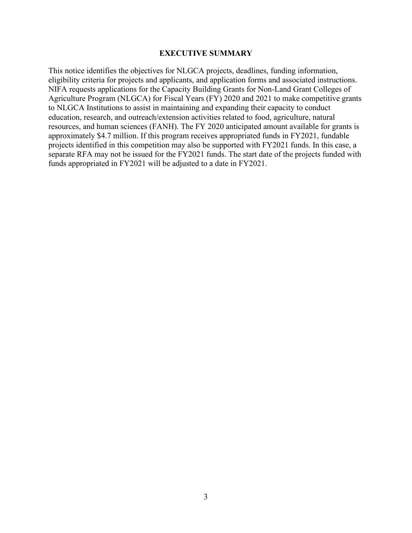#### **EXECUTIVE SUMMARY**

<span id="page-2-0"></span>This notice identifies the objectives for NLGCA projects, deadlines, funding information, eligibility criteria for projects and applicants, and application forms and associated instructions. NIFA requests applications for the Capacity Building Grants for Non-Land Grant Colleges of Agriculture Program (NLGCA) for Fiscal Years (FY) 2020 and 2021 to make competitive grants to NLGCA Institutions to assist in maintaining and expanding their capacity to conduct education, research, and outreach/extension activities related to food, agriculture, natural resources, and human sciences (FANH). The FY 2020 anticipated amount available for grants is approximately \$4.7 million. If this program receives appropriated funds in FY2021, fundable projects identified in this competition may also be supported with FY2021 funds. In this case, a separate RFA may not be issued for the FY2021 funds. The start date of the projects funded with funds appropriated in FY2021 will be adjusted to a date in FY2021.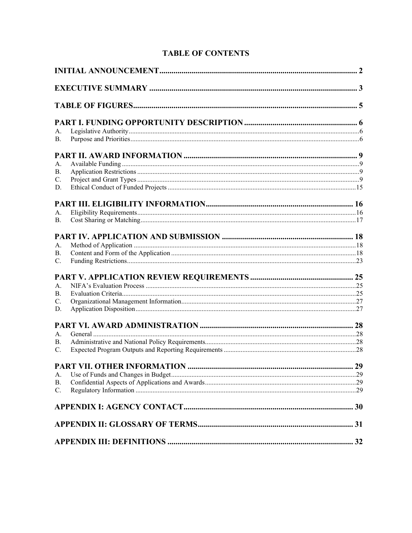| <b>TABLE OF CONTENTS</b> |
|--------------------------|
|--------------------------|

| А.          |  |
|-------------|--|
| <b>B.</b>   |  |
|             |  |
| А.          |  |
| В.          |  |
| C.          |  |
| D.          |  |
|             |  |
| А.          |  |
| <b>B.</b>   |  |
|             |  |
| A.          |  |
| В.          |  |
| $C_{\cdot}$ |  |
|             |  |
| А.          |  |
| В.          |  |
| C.          |  |
| D.          |  |
|             |  |
| А.          |  |
| В.          |  |
| C.          |  |
|             |  |
| А.          |  |
| <b>B.</b>   |  |
| C.          |  |
|             |  |
|             |  |
|             |  |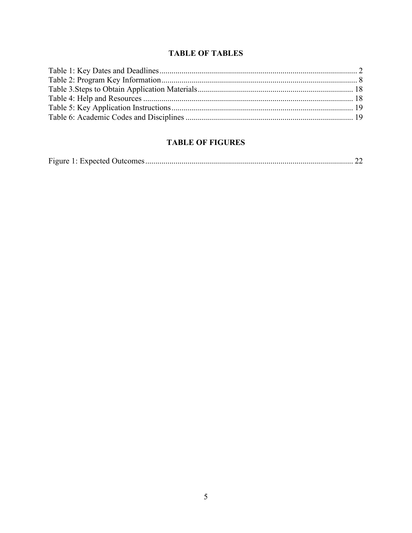# **TABLE OF TABLES**

# <span id="page-4-0"></span>**TABLE OF FIGURES**

|--|--|--|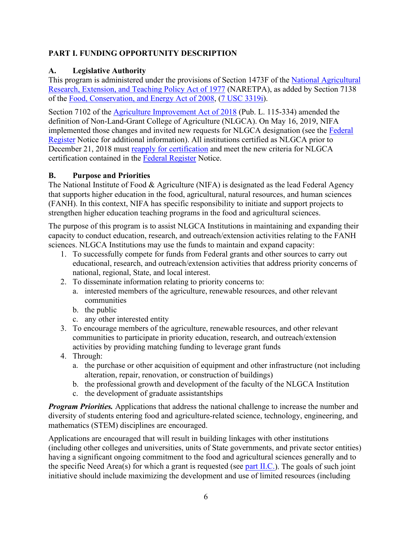## <span id="page-5-0"></span>**PART I. FUNDING OPPORTUNITY DESCRIPTION**

## <span id="page-5-1"></span>**A. Legislative Authority**

This program is administered under the provisions of Section 1473F of the [National Agricultural](https://nifa.usda.gov/sites/default/files/resource/nar77.pdf)  [Research, Extension, and Teaching Policy Act of 1977](https://nifa.usda.gov/sites/default/files/resource/nar77.pdf) (NARETPA), as added by Section 7138 of the [Food, Conservation, and Energy Act of 2008,](https://www.congress.gov/bill/110th-congress/house-bill/2419/text) [\(7 USC 3319i\)](https://uscode.house.gov/view.xhtml?req=(title:7%20section:3319%20edition:prelim)%20OR%20(granuleid:USC-prelim-title7-section3319)&f=treesort&edition=prelim&num=0&jumpTo=true).

Section 7102 of the [Agriculture Improvement Act of 2018](https://www.congress.gov/bill/115th-congress/house-bill/2/text) (Pub. L. 115-334) amended the definition of Non-Land-Grant College of Agriculture (NLGCA). On May 16, 2019, NIFA implemented those changes and invited new requests for NLGCA designation (see the [Federal](https://www.federalregister.gov/documents/2019/05/16/2019-10105/designation-as-a-non-land-grant-college-of-agriculture?utm_content=&utm_medium=email&utm_name=&utm_source=govdelivery&utm_term=)  [Register](https://www.federalregister.gov/documents/2019/05/16/2019-10105/designation-as-a-non-land-grant-college-of-agriculture?utm_content=&utm_medium=email&utm_name=&utm_source=govdelivery&utm_term=) Notice for additional information). All institutions certified as NLGCA prior to December 21, 2018 must [reapply for certification](https://nifa.usda.gov/webform/request-non-land-grant-college-agriculture-designation) and meet the new criteria for NLGCA certification contained in the [Federal Register](https://www.federalregister.gov/documents/2019/05/16/2019-10105/designation-as-a-non-land-grant-college-of-agriculture?utm_content=&utm_medium=email&utm_name=&utm_source=govdelivery&utm_term=) Notice.

#### <span id="page-5-2"></span>**B. Purpose and Priorities**

The National Institute of Food & Agriculture (NIFA) is designated as the lead Federal Agency that supports higher education in the food, agricultural, natural resources, and human sciences (FANH). In this context, NIFA has specific responsibility to initiate and support projects to strengthen higher education teaching programs in the food and agricultural sciences.

The purpose of this program is to assist NLGCA Institutions in maintaining and expanding their capacity to conduct education, research, and outreach/extension activities relating to the FANH sciences. NLGCA Institutions may use the funds to maintain and expand capacity:

- 1. To successfully compete for funds from Federal grants and other sources to carry out educational, research, and outreach/extension activities that address priority concerns of national, regional, State, and local interest.
- 2. To disseminate information relating to priority concerns to:
	- a. interested members of the agriculture, renewable resources, and other relevant communities
	- b. the public
	- c. any other interested entity
- 3. To encourage members of the agriculture, renewable resources, and other relevant communities to participate in priority education, research, and outreach/extension activities by providing matching funding to leverage grant funds
- 4. Through:
	- a. the purchase or other acquisition of equipment and other infrastructure (not including alteration, repair, renovation, or construction of buildings)
	- b. the professional growth and development of the faculty of the NLGCA Institution
	- c. the development of graduate assistantships

*Program Priorities.* Applications that address the national challenge to increase the number and diversity of students entering food and agriculture-related science, technology, engineering, and mathematics (STEM) disciplines are encouraged.

Applications are encouraged that will result in building linkages with other institutions (including other colleges and universities, units of State governments, and private sector entities) having a significant ongoing commitment to the food and agricultural sciences generally and to the specific Need Area(s) for which a grant is requested (see [part II.C.\)](#page-8-3). The goals of such joint initiative should include maximizing the development and use of limited resources (including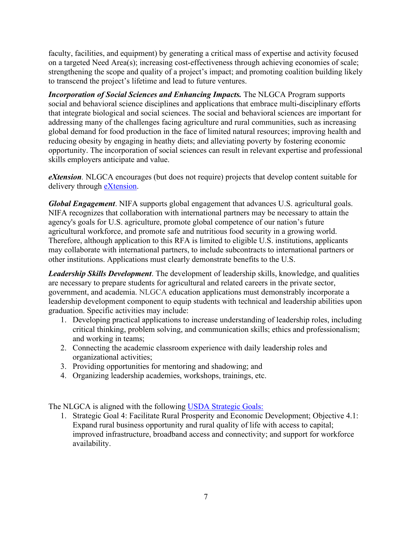faculty, facilities, and equipment) by generating a critical mass of expertise and activity focused on a targeted Need Area(s); increasing cost-effectiveness through achieving economies of scale; strengthening the scope and quality of a project's impact; and promoting coalition building likely to transcend the project's lifetime and lead to future ventures.

*Incorporation of Social Sciences and Enhancing Impacts.* The NLGCA Program supports social and behavioral science disciplines and applications that embrace multi-disciplinary efforts that integrate biological and social sciences. The social and behavioral sciences are important for addressing many of the challenges facing agriculture and rural communities, such as increasing global demand for food production in the face of limited natural resources; improving health and reducing obesity by engaging in heathy diets; and alleviating poverty by fostering economic opportunity. The incorporation of social sciences can result in relevant expertise and professional skills employers anticipate and value.

*eXtension.* NLGCA encourages (but does not require) projects that develop content suitable for delivery through [eXtension.](https://impact.extension.org/)

*Global Engagement*. NIFA supports global engagement that advances U.S. agricultural goals. NIFA recognizes that collaboration with international partners may be necessary to attain the agency's goals for U.S. agriculture, promote global competence of our nation's future agricultural workforce, and promote safe and nutritious food security in a growing world. Therefore, although application to this RFA is limited to eligible U.S. institutions, applicants may collaborate with international partners, to include subcontracts to international partners or other institutions. Applications must clearly demonstrate benefits to the U.S.

*Leadership Skills Development*. The development of leadership skills, knowledge, and qualities are necessary to prepare students for agricultural and related careers in the private sector, government, and academia. NLGCA education applications must demonstrably incorporate a leadership development component to equip students with technical and leadership abilities upon graduation. Specific activities may include:

- 1. Developing practical applications to increase understanding of leadership roles, including critical thinking, problem solving, and communication skills; ethics and professionalism; and working in teams;
- 2. Connecting the academic classroom experience with daily leadership roles and organizational activities;
- 3. Providing opportunities for mentoring and shadowing; and
- 4. Organizing leadership academies, workshops, trainings, etc.

The NLGCA is aligned with the following [USDA Strategic Goals:](https://www.usda.gov/sites/default/files/documents/usda-strategic-plan-2018-2022.pdf) 

1. Strategic Goal 4: Facilitate Rural Prosperity and Economic Development; Objective 4.1: Expand rural business opportunity and rural quality of life with access to capital; improved infrastructure, broadband access and connectivity; and support for workforce availability.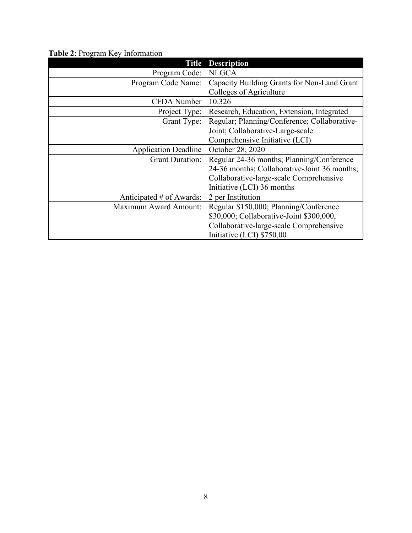| <b>Title</b>                 | <b>Description</b>                           |
|------------------------------|----------------------------------------------|
| Program Code:                | <b>NLGCA</b>                                 |
| Program Code Name:           | Capacity Building Grants for Non-Land Grant  |
|                              | Colleges of Agriculture                      |
| <b>CFDA</b> Number           | 10.326                                       |
| Project Type:                | Research, Education, Extension, Integrated   |
| Grant Type:                  | Regular; Planning/Conference; Collaborative- |
|                              | Joint; Collaborative-Large-scale             |
|                              | Comprehensive Initiative (LCI)               |
| <b>Application Deadline</b>  | October 28, 2020                             |
| <b>Grant Duration:</b>       | Regular 24-36 months; Planning/Conference    |
|                              | 24-36 months; Collaborative-Joint 36 months; |
|                              | Collaborative-large-scale Comprehensive      |
|                              | Initiative (LCI) 36 months                   |
| Anticipated # of Awards:     | 2 per Institution                            |
| <b>Maximum Award Amount:</b> | Regular \$150,000; Planning/Conference       |
|                              | \$30,000; Collaborative-Joint \$300,000,     |
|                              | Collaborative-large-scale Comprehensive      |
|                              | Initiative (LCI) \$750,00                    |

<span id="page-7-0"></span>**Table 2**: Program Key Information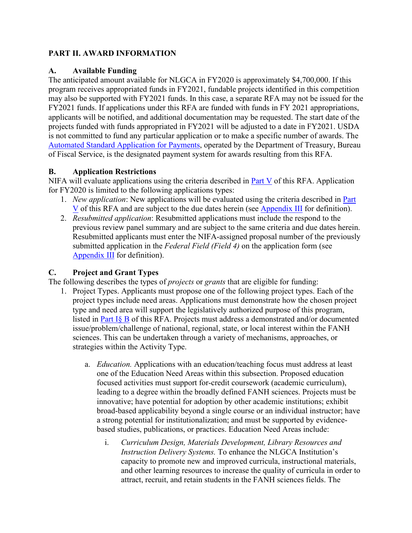## <span id="page-8-0"></span>**PART II. AWARD INFORMATION**

#### <span id="page-8-1"></span>**A. Available Funding**

The anticipated amount available for NLGCA in FY2020 is approximately \$4,700,000. If this program receives appropriated funds in FY2021, fundable projects identified in this competition may also be supported with FY2021 funds. In this case, a separate RFA may not be issued for the FY2021 funds. If applications under this RFA are funded with funds in FY 2021 appropriations, applicants will be notified, and additional documentation may be requested. The start date of the projects funded with funds appropriated in FY2021 will be adjusted to a date in FY2021. USDA is not committed to fund any particular application or to make a specific number of awards. The [Automated Standard Application for Payments,](https://www.fiscal.treasury.gov/fsservices/gov/pmt/asap/asap_home.htm) operated by the Department of Treasury, Bureau of Fiscal Service, is the designated payment system for awards resulting from this RFA.

## <span id="page-8-2"></span>**B. Application Restrictions**

NIFA will evaluate applications using the criteria described in [Part V](#page-24-0) of this RFA. Application for FY2020 is limited to the following applications types:

- 1. *New application*: New applications will be evaluated using the criteria described in [Part](#page-24-0)  [V](#page-24-0) of this RFA and are subject to the due dates herein (see [Appendix III](#page-31-0) for definition).
- 2. *Resubmitted application*: Resubmitted applications must include the respond to the previous review panel summary and are subject to the same criteria and due dates herein. Resubmitted applicants must enter the NIFA-assigned proposal number of the previously submitted application in the *Federal Field (Field 4)* on the application form (see [Appendix III](#page-31-0) for definition).

## <span id="page-8-3"></span>**C. Project and Grant Types**

The following describes the types of *projects* or *grants* that are eligible for funding:

- 1. Project Types. Applicants must propose one of the following project types. Each of the project types include need areas. Applications must demonstrate how the chosen project type and need area will support the legislatively authorized purpose of this program, listed in [Part I§ B](#page-5-2) of this RFA. Projects must address a demonstrated and/or documented issue/problem/challenge of national, regional, state, or local interest within the FANH sciences. This can be undertaken through a variety of mechanisms, approaches, or strategies within the Activity Type.
	- a. *Education.* Applications with an education/teaching focus must address at least one of the Education Need Areas within this subsection. Proposed education focused activities must support for-credit coursework (academic curriculum), leading to a degree within the broadly defined FANH sciences. Projects must be innovative; have potential for adoption by other academic institutions; exhibit broad-based applicability beyond a single course or an individual instructor; have a strong potential for institutionalization; and must be supported by evidencebased studies, publications, or practices. Education Need Areas include:
		- i. *Curriculum Design, Materials Development, Library Resources and Instruction Delivery Systems.* To enhance the NLGCA Institution's capacity to promote new and improved curricula, instructional materials, and other learning resources to increase the quality of curricula in order to attract, recruit, and retain students in the FANH sciences fields. The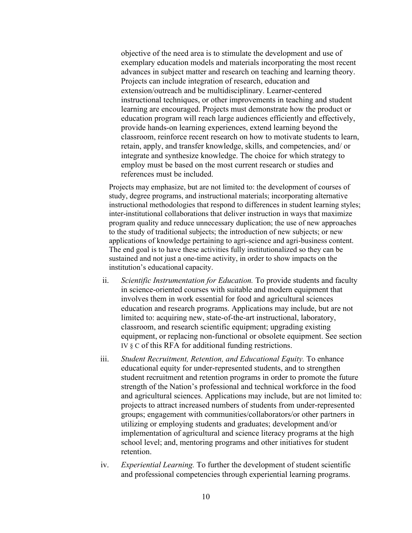objective of the need area is to stimulate the development and use of exemplary education models and materials incorporating the most recent advances in subject matter and research on teaching and learning theory. Projects can include integration of research, education and extension/outreach and be multidisciplinary. Learner-centered instructional techniques, or other improvements in teaching and student learning are encouraged. Projects must demonstrate how the product or education program will reach large audiences efficiently and effectively, provide hands-on learning experiences, extend learning beyond the classroom, reinforce recent research on how to motivate students to learn, retain, apply, and transfer knowledge, skills, and competencies, and/ or integrate and synthesize knowledge. The choice for which strategy to employ must be based on the most current research or studies and references must be included.

Projects may emphasize, but are not limited to: the development of courses of study, degree programs, and instructional materials; incorporating alternative instructional methodologies that respond to differences in student learning styles; inter-institutional collaborations that deliver instruction in ways that maximize program quality and reduce unnecessary duplication; the use of new approaches to the study of traditional subjects; the introduction of new subjects; or new applications of knowledge pertaining to agri-science and agri-business content. The end goal is to have these activities fully institutionalized so they can be sustained and not just a one-time activity, in order to show impacts on the institution's educational capacity.

- ii. *Scientific Instrumentation for Education.* To provide students and faculty in science-oriented courses with suitable and modern equipment that involves them in work essential for food and agricultural sciences education and research programs. Applications may include, but are not limited to: acquiring new, state-of-the-art instructional, laboratory, classroom, and research scientific equipment; upgrading existing equipment, or replacing non-functional or obsolete equipment. See section IV § C of this RFA for additional funding restrictions.
- iii. *Student Recruitment, Retention, and Educational Equity.* To enhance educational equity for under-represented students, and to strengthen student recruitment and retention programs in order to promote the future strength of the Nation's professional and technical workforce in the food and agricultural sciences. Applications may include, but are not limited to: projects to attract increased numbers of students from under-represented groups; engagement with communities/collaborators/or other partners in utilizing or employing students and graduates; development and/or implementation of agricultural and science literacy programs at the high school level; and, mentoring programs and other initiatives for student retention.
- iv. *Experiential Learning.* To further the development of student scientific and professional competencies through experiential learning programs.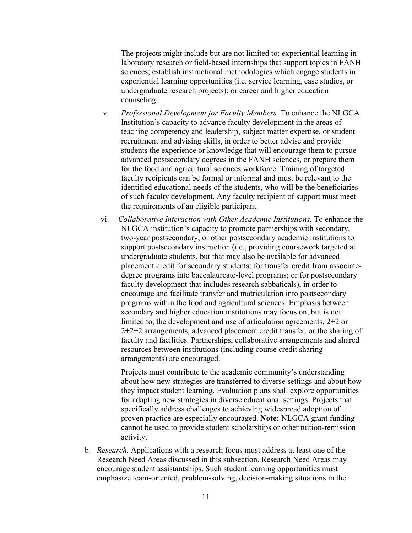The projects might include but are not limited to: experiential learning in laboratory research or field-based internships that support topics in FANH sciences; establish instructional methodologies which engage students in experiential learning opportunities (i.e. service learning, case studies, or undergraduate research projects); or career and higher education counseling.

- v. *Professional Development for Faculty Members.* To enhance the NLGCA Institution's capacity to advance faculty development in the areas of teaching competency and leadership, subject matter expertise, or student recruitment and advising skills, in order to better advise and provide students the experience or knowledge that will encourage them to pursue advanced postsecondary degrees in the FANH sciences, or prepare them for the food and agricultural sciences workforce. Training of targeted faculty recipients can be formal or informal and must be relevant to the identified educational needs of the students, who will be the beneficiaries of such faculty development. Any faculty recipient of support must meet the requirements of an eligible participant.
- vi. *Collaborative Interaction with Other Academic Institutions.* To enhance the NLGCA institution's capacity to promote partnerships with secondary, two-year postsecondary, or other postsecondary academic institutions to support postsecondary instruction (i.e., providing coursework targeted at undergraduate students, but that may also be available for advanced placement credit for secondary students; for transfer credit from associatedegree programs into baccalaureate-level programs; or for postsecondary faculty development that includes research sabbaticals), in order to encourage and facilitate transfer and matriculation into postsecondary programs within the food and agricultural sciences. Emphasis between secondary and higher education institutions may focus on, but is not limited to, the development and use of articulation agreements, 2+2 or 2+2+2 arrangements, advanced placement credit transfer, or the sharing of faculty and facilities. Partnerships, collaborative arrangements and shared resources between institutions (including course credit sharing arrangements) are encouraged.

Projects must contribute to the academic community's understanding about how new strategies are transferred to diverse settings and about how they impact student learning. Evaluation plans shall explore opportunities for adapting new strategies in diverse educational settings. Projects that specifically address challenges to achieving widespread adoption of proven practice are especially encouraged. **Note:** NLGCA grant funding cannot be used to provide student scholarships or other tuition-remission activity.

b. *Research.* Applications with a research focus must address at least one of the Research Need Areas discussed in this subsection. Research Need Areas may encourage student assistantships. Such student learning opportunities must emphasize team-oriented, problem-solving, decision-making situations in the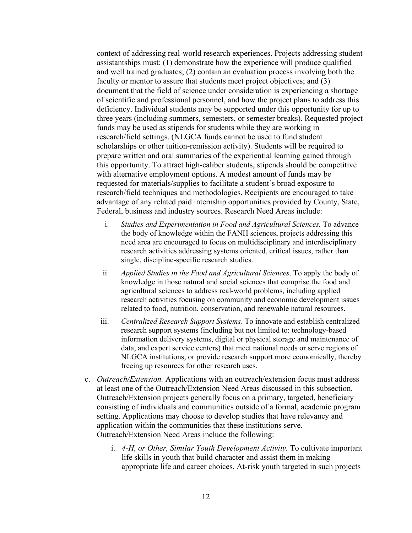context of addressing real-world research experiences. Projects addressing student assistantships must: (1) demonstrate how the experience will produce qualified and well trained graduates; (2) contain an evaluation process involving both the faculty or mentor to assure that students meet project objectives; and (3) document that the field of science under consideration is experiencing a shortage of scientific and professional personnel, and how the project plans to address this deficiency. Individual students may be supported under this opportunity for up to three years (including summers, semesters, or semester breaks). Requested project funds may be used as stipends for students while they are working in research/field settings. (NLGCA funds cannot be used to fund student scholarships or other tuition-remission activity). Students will be required to prepare written and oral summaries of the experiential learning gained through this opportunity. To attract high-caliber students, stipends should be competitive with alternative employment options. A modest amount of funds may be requested for materials/supplies to facilitate a student's broad exposure to research/field techniques and methodologies. Recipients are encouraged to take advantage of any related paid internship opportunities provided by County, State, Federal, business and industry sources. Research Need Areas include:

- i. *Studies and Experimentation in Food and Agricultural Sciences.* To advance the body of knowledge within the FANH sciences, projects addressing this need area are encouraged to focus on multidisciplinary and interdisciplinary research activities addressing systems oriented, critical issues, rather than single, discipline-specific research studies.
- ii. *Applied Studies in the Food and Agricultural Sciences*. To apply the body of knowledge in those natural and social sciences that comprise the food and agricultural sciences to address real-world problems, including applied research activities focusing on community and economic development issues related to food, nutrition, conservation, and renewable natural resources.
- iii. *Centralized Research Support Systems*. To innovate and establish centralized research support systems (including but not limited to: technology-based information delivery systems, digital or physical storage and maintenance of data, and expert service centers) that meet national needs or serve regions of NLGCA institutions, or provide research support more economically, thereby freeing up resources for other research uses.
- c. *Outreach/Extension.* Applications with an outreach/extension focus must address at least one of the Outreach/Extension Need Areas discussed in this subsection. Outreach/Extension projects generally focus on a primary, targeted, beneficiary consisting of individuals and communities outside of a formal, academic program setting. Applications may choose to develop studies that have relevancy and application within the communities that these institutions serve. Outreach/Extension Need Areas include the following:
	- i. *4-H, or Other, Similar Youth Development Activity.* To cultivate important life skills in youth that build character and assist them in making appropriate life and career choices. At-risk youth targeted in such projects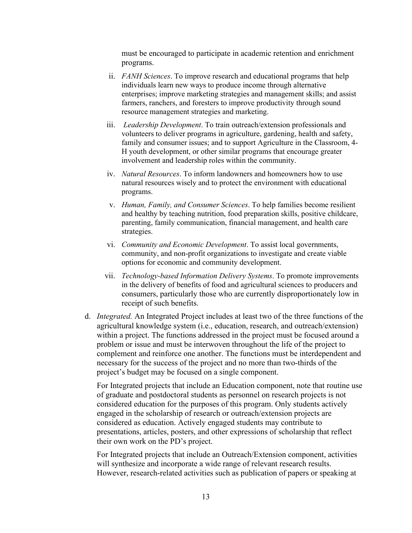must be encouraged to participate in academic retention and enrichment programs.

- ii. *FANH Sciences*. To improve research and educational programs that help individuals learn new ways to produce income through alternative enterprises; improve marketing strategies and management skills; and assist farmers, ranchers, and foresters to improve productivity through sound resource management strategies and marketing.
- iii. *Leadership Development*. To train outreach/extension professionals and volunteers to deliver programs in agriculture, gardening, health and safety, family and consumer issues; and to support Agriculture in the Classroom, 4- H youth development, or other similar programs that encourage greater involvement and leadership roles within the community.
- iv. *Natural Resources*. To inform landowners and homeowners how to use natural resources wisely and to protect the environment with educational programs.
- v. *Human, Family, and Consumer Sciences*. To help families become resilient and healthy by teaching nutrition, food preparation skills, positive childcare, parenting, family communication, financial management, and health care strategies.
- vi. *Community and Economic Development*. To assist local governments, community, and non-profit organizations to investigate and create viable options for economic and community development.
- vii. *Technology-based Information Delivery Systems*. To promote improvements in the delivery of benefits of food and agricultural sciences to producers and consumers, particularly those who are currently disproportionately low in receipt of such benefits.
- d. *Integrated.* An Integrated Project includes at least two of the three functions of the agricultural knowledge system (i.e., education, research, and outreach/extension) within a project. The functions addressed in the project must be focused around a problem or issue and must be interwoven throughout the life of the project to complement and reinforce one another. The functions must be interdependent and necessary for the success of the project and no more than two-thirds of the project's budget may be focused on a single component.

For Integrated projects that include an Education component, note that routine use of graduate and postdoctoral students as personnel on research projects is not considered education for the purposes of this program. Only students actively engaged in the scholarship of research or outreach/extension projects are considered as education. Actively engaged students may contribute to presentations, articles, posters, and other expressions of scholarship that reflect their own work on the PD's project.

For Integrated projects that include an Outreach/Extension component, activities will synthesize and incorporate a wide range of relevant research results. However, research-related activities such as publication of papers or speaking at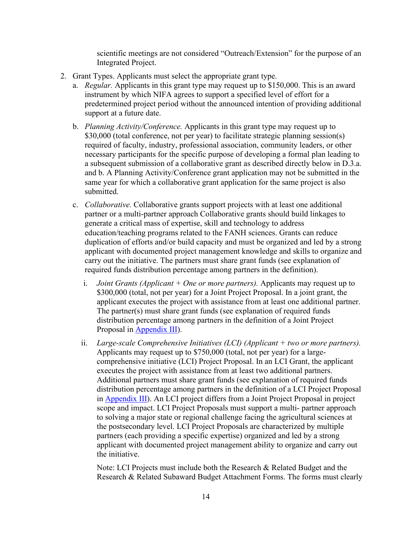scientific meetings are not considered "Outreach/Extension" for the purpose of an Integrated Project.

- 2. Grant Types. Applicants must select the appropriate grant type.
	- a. *Regular.* Applicants in this grant type may request up to \$150,000. This is an award instrument by which NIFA agrees to support a specified level of effort for a predetermined project period without the announced intention of providing additional support at a future date.
	- b. *Planning Activity/Conference.* Applicants in this grant type may request up to \$30,000 (total conference, not per year) to facilitate strategic planning session(s) required of faculty, industry, professional association, community leaders, or other necessary participants for the specific purpose of developing a formal plan leading to a subsequent submission of a collaborative grant as described directly below in D.3.a. and b. A Planning Activity/Conference grant application may not be submitted in the same year for which a collaborative grant application for the same project is also submitted.
	- c. *Collaborative.* Collaborative grants support projects with at least one additional partner or a multi-partner approach Collaborative grants should build linkages to generate a critical mass of expertise, skill and technology to address education/teaching programs related to the FANH sciences. Grants can reduce duplication of efforts and/or build capacity and must be organized and led by a strong applicant with documented project management knowledge and skills to organize and carry out the initiative. The partners must share grant funds (see explanation of required funds distribution percentage among partners in the definition).
		- i. *Joint Grants (Applicant + One or more partners).* Applicants may request up to \$300,000 (total, not per year) for a Joint Project Proposal. In a joint grant, the applicant executes the project with assistance from at least one additional partner. The partner(s) must share grant funds (see explanation of required funds distribution percentage among partners in the definition of a Joint Project Proposal in [Appendix III\)](#page-31-0).
		- ii. *Large-scale Comprehensive Initiatives (LCI) (Applicant + two or more partners).*  Applicants may request up to \$750,000 (total, not per year) for a largecomprehensive initiative (LCI) Project Proposal. In an LCI Grant, the applicant executes the project with assistance from at least two additional partners. Additional partners must share grant funds (see explanation of required funds distribution percentage among partners in the definition of a LCI Project Proposal in **Appendix III**). An LCI project differs from a Joint Project Proposal in project scope and impact. LCI Project Proposals must support a multi- partner approach to solving a major state or regional challenge facing the agricultural sciences at the postsecondary level. LCI Project Proposals are characterized by multiple partners (each providing a specific expertise) organized and led by a strong applicant with documented project management ability to organize and carry out the initiative.

Note: LCI Projects must include both the Research & Related Budget and the Research & Related Subaward Budget Attachment Forms. The forms must clearly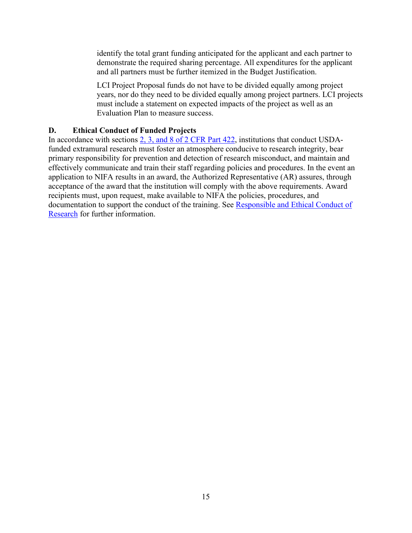identify the total grant funding anticipated for the applicant and each partner to demonstrate the required sharing percentage. All expenditures for the applicant and all partners must be further itemized in the Budget Justification.

LCI Project Proposal funds do not have to be divided equally among project years, nor do they need to be divided equally among project partners. LCI projects must include a statement on expected impacts of the project as well as an Evaluation Plan to measure success.

#### <span id="page-14-0"></span>**D. Ethical Conduct of Funded Projects**

In accordance with sections [2, 3, and 8 of 2 CFR Part 422,](https://ecfr.io/Title-02/pt2.1.422) institutions that conduct USDAfunded extramural research must foster an atmosphere conducive to research integrity, bear primary responsibility for prevention and detection of research misconduct, and maintain and effectively communicate and train their staff regarding policies and procedures. In the event an application to NIFA results in an award, the Authorized Representative (AR) assures, through acceptance of the award that the institution will comply with the above requirements. Award recipients must, upon request, make available to NIFA the policies, procedures, and documentation to support the conduct of the training. See [Responsible and Ethical Conduct of](https://nifa.usda.gov/responsible-and-ethical-conduct-research)  [Research](https://nifa.usda.gov/responsible-and-ethical-conduct-research) for further information.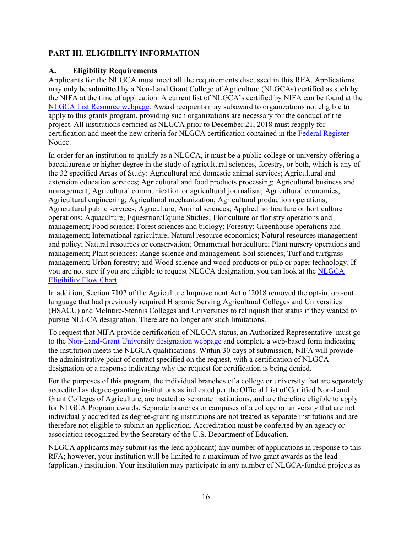## <span id="page-15-0"></span>**PART III. ELIGIBILITY INFORMATION**

#### <span id="page-15-1"></span>**A. Eligibility Requirements**

Applicants for the NLGCA must meet all the requirements discussed in this RFA. Applications may only be submitted by a Non-Land Grant College of Agriculture (NLGCAs) certified as such by the NIFA at the time of application. A current list of NLGCA's certified by NIFA can be found at the [NLGCA List Resource webpage.](https://nifa.usda.gov/resource/nlgca-list) Award recipients may subaward to organizations not eligible to apply to this grants program, providing such organizations are necessary for the conduct of the project. All institutions certified as NLGCA prior to December 21, 2018 must reapply for certification and meet the new criteria for NLGCA certification contained in the [Federal Register](https://www.federalregister.gov/documents/2019/05/16/2019-10105/designation-as-a-non-land-grant-college-of-agriculture?utm_content=&utm_medium=email&utm_name=&utm_source=govdelivery&utm_term=) Notice.

In order for an institution to qualify as a NLGCA, it must be a public college or university offering a baccalaureate or higher degree in the study of agricultural sciences, forestry, or both, which is any of the 32 specified Areas of Study: Agricultural and domestic animal services; Agricultural and extension education services; Agricultural and food products processing; Agricultural business and management; Agricultural communication or agricultural journalism; Agricultural economics; Agricultural engineering; Agricultural mechanization; Agricultural production operations; Agricultural public services; Agriculture; Animal sciences; Applied horticulture or horticulture operations; Aquaculture; Equestrian/Equine Studies; Floriculture or floristry operations and management; Food science; Forest sciences and biology; Forestry; Greenhouse operations and management; International agriculture; Natural resource economics; Natural resources management and policy; Natural resources or conservation; Ornamental horticulture; Plant nursery operations and management; Plant sciences; Range science and management; Soil sciences; Turf and turfgrass management; Urban forestry; and Wood science and wood products or pulp or paper technology. If you are not sure if you are eligible to request NLGCA designation, you can look at the [NLGCA](https://nifa.usda.gov/resource/nlgca-eligibility-flow-chart)  [Eligibility Flow Chart.](https://nifa.usda.gov/resource/nlgca-eligibility-flow-chart)

In addition, Section 7102 of the Agriculture Improvement Act of 2018 removed the opt-in, opt-out language that had previously required Hispanic Serving Agricultural Colleges and Universities (HSACU) and McIntire-Stennis Colleges and Universities to relinquish that status if they wanted to pursue NLGCA designation. There are no longer any such limitations.

To request that NIFA provide certification of NLGCA status, an Authorized Representative must go to th[e Non-Land-Grant University designation webpage](https://nifa.usda.gov/webform/request-non-land-grant-college-agriculture-designation) and complete a web-based form indicating the institution meets the NLGCA qualifications. Within 30 days of submission, NIFA will provide the administrative point of contact specified on the request, with a certification of NLGCA designation or a response indicating why the request for certification is being denied.

For the purposes of this program, the individual branches of a college or university that are separately accredited as degree-granting institutions as indicated per the Official List of Certified Non-Land Grant Colleges of Agriculture, are treated as separate institutions, and are therefore eligible to apply for NLGCA Program awards. Separate branches or campuses of a college or university that are not individually accredited as degree-granting institutions are not treated as separate institutions and are therefore not eligible to submit an application. Accreditation must be conferred by an agency or association recognized by the Secretary of the U.S. Department of Education.

NLGCA applicants may submit (as the lead applicant) any number of applications in response to this RFA; however, your institution will be limited to a maximum of two grant awards as the lead (applicant) institution. Your institution may participate in any number of NLGCA-funded projects as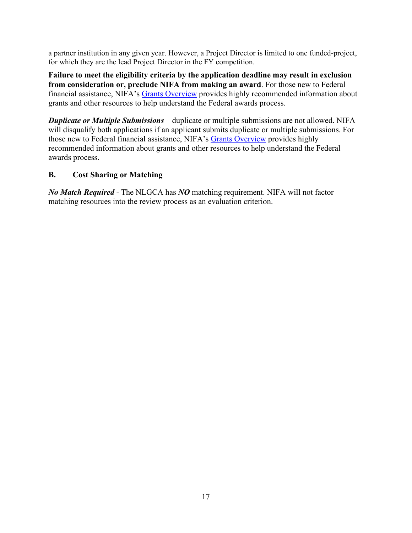a partner institution in any given year. However, a Project Director is limited to one funded-project, for which they are the lead Project Director in the FY competition.

**Failure to meet the eligibility criteria by the application deadline may result in exclusion from consideration or, preclude NIFA from making an award**. For those new to Federal financial assistance, NIFA's [Grants Overview](https://nifa.usda.gov/resource/grants-overview) provides highly recommended information about grants and other resources to help understand the Federal awards process.

*Duplicate or Multiple Submissions* – duplicate or multiple submissions are not allowed. NIFA will disqualify both applications if an applicant submits duplicate or multiple submissions. For those new to Federal financial assistance, NIFA's [Grants Overview](https://nifa.usda.gov/resource/grants-overview) provides highly recommended information about grants and other resources to help understand the Federal awards process.

## <span id="page-16-0"></span>**B. Cost Sharing or Matching**

*No Match Required* - The NLGCA has *NO* matching requirement. NIFA will not factor matching resources into the review process as an evaluation criterion.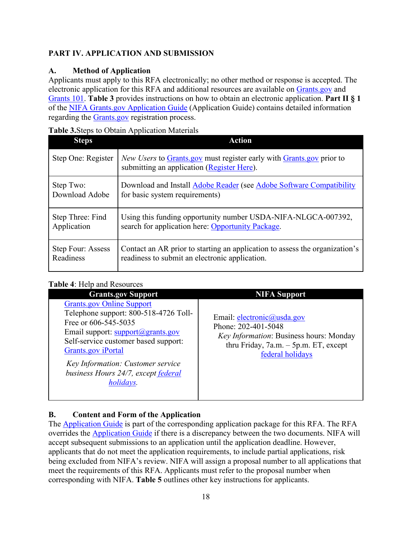## <span id="page-17-0"></span>**PART IV. APPLICATION AND SUBMISSION**

## <span id="page-17-1"></span>**A. Method of Application**

Applicants must apply to this RFA electronically; no other method or response is accepted. The electronic application for this RFA and additional resources are available on [Grants.gov](https://www.grants.gov/) and [Grants 101.](https://www.grants.gov/web/grants/learn-grants/grants-101/pre-award-phase.html/) **Table 3** provides instructions on how to obtain an electronic application. **Part II § 1** of the [NIFA Grants.gov Application Guide](https://apply07.grants.gov/apply/opportunities/instructions/PKG00249520-instructions.pdf) (Application Guide) contains detailed information regarding the [Grants.gov](https://www.grants.gov/) registration process.

## <span id="page-17-3"></span>**Table 3.**Steps to Obtain Application Materials

| <b>Steps</b>       | <b>Action</b>                                                                                                      |
|--------------------|--------------------------------------------------------------------------------------------------------------------|
| Step One: Register | New Users to Grants.gov must register early with Grants.gov prior to<br>submitting an application (Register Here). |
| Step Two:          | Download and Install Adobe Reader (see Adobe Software Compatibility                                                |
| Download Adobe     | for basic system requirements)                                                                                     |
| Step Three: Find   | Using this funding opportunity number USDA-NIFA-NLGCA-007392,                                                      |
| Application        | search for application here: Opportunity Package.                                                                  |
| Step Four: Assess  | Contact an AR prior to starting an application to assess the organization's                                        |
| Readiness          | readiness to submit an electronic application.                                                                     |

## <span id="page-17-4"></span>**Table 4**: Help and Resources

| <b>Grants.gov Support</b><br><b>NIFA Support</b>                                                                                                                                                                                                                                                                                                                                                                                                              |  |
|---------------------------------------------------------------------------------------------------------------------------------------------------------------------------------------------------------------------------------------------------------------------------------------------------------------------------------------------------------------------------------------------------------------------------------------------------------------|--|
| <b>Grants.gov Online Support</b><br>Telephone support: 800-518-4726 Toll-<br>Email: electronic@usda.gov<br>Free or 606-545-5035<br>Phone: 202-401-5048<br>Email support: support@grants.gov<br>Key Information: Business hours: Monday<br>Self-service customer based support:<br>thru Friday, $7a.m. - 5p.m. ET$ , except<br>Grants.gov iPortal<br>federal holidays<br>Key Information: Customer service<br>business Hours 24/7, except federal<br>holidays. |  |

# <span id="page-17-2"></span>**B. Content and Form of the Application**

The [Application Guide](https://apply07.grants.gov/apply/opportunities/instructions/PKG00249520-instructions.pdf) is part of the corresponding application package for this RFA. The RFA overrides the [Application Guide](https://apply07.grants.gov/apply/opportunities/instructions/PKG00249520-instructions.pdf) if there is a discrepancy between the two documents. NIFA will accept subsequent submissions to an application until the application deadline. However, applicants that do not meet the application requirements, to include partial applications, risk being excluded from NIFA's review. NIFA will assign a proposal number to all applications that meet the requirements of this RFA. Applicants must refer to the proposal number when corresponding with NIFA. **Table 5** outlines other key instructions for applicants.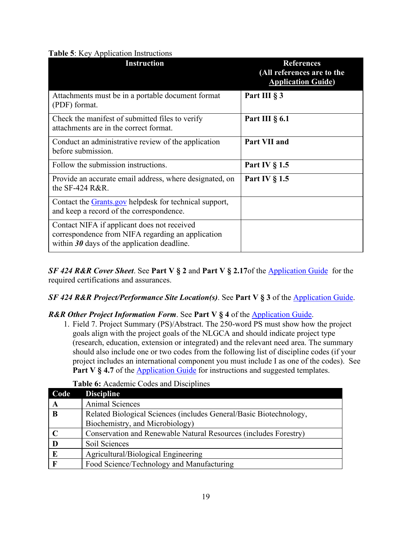#### <span id="page-18-0"></span>**Table 5**: Key Application Instructions

| <b>Instruction</b>                                                                                                                                | <b>References</b><br>(All references are to the<br><b>Application Guide)</b> |
|---------------------------------------------------------------------------------------------------------------------------------------------------|------------------------------------------------------------------------------|
| Attachments must be in a portable document format<br>(PDF) format.                                                                                | Part III § 3                                                                 |
| Check the manifest of submitted files to verify<br>attachments are in the correct format.                                                         | Part III $\S$ 6.1                                                            |
| Conduct an administrative review of the application<br>before submission.                                                                         | Part VII and                                                                 |
| Follow the submission instructions.                                                                                                               | Part IV $\S$ 1.5                                                             |
| Provide an accurate email address, where designated, on<br>the $SF-424$ R&R.                                                                      | Part IV $\S$ 1.5                                                             |
| Contact the Grants.gov helpdesk for technical support,<br>and keep a record of the correspondence.                                                |                                                                              |
| Contact NIFA if applicant does not received<br>correspondence from NIFA regarding an application<br>within $30$ days of the application deadline. |                                                                              |

*SF 424 R&R Cover Sheet*. See **Part V § 2** and **Part V § 2.17**of the [Application Guide](https://apply07.grants.gov/apply/opportunities/instructions/PKG00249520-instructions.pdf) for the required certifications and assurances.

#### *SF 424 R&R Project/Performance Site Location(s)*. See **Part V § 3** of the [Application Guide.](https://apply07.grants.gov/apply/opportunities/instructions/PKG00249520-instructions.pdf)

#### *R&R Other Project Information Form*. See **Part V § 4** of the [Application Guide.](https://apply07.grants.gov/apply/opportunities/instructions/PKG00249520-instructions.pdf)

1. Field 7. Project Summary (PS)/Abstract. The 250-word PS must show how the project goals align with the project goals of the NLGCA and should indicate project type (research, education, extension or integrated) and the relevant need area. The summary should also include one or two codes from the following list of discipline codes (if your project includes an international component you must include I as one of the codes). See **Part V § 4.7** of the **Application Guide** for instructions and suggested templates.

<span id="page-18-1"></span>

| Code | <b>Discipline</b>                                                                                     |
|------|-------------------------------------------------------------------------------------------------------|
| A    | <b>Animal Sciences</b>                                                                                |
| B    | Related Biological Sciences (includes General/Basic Biotechnology,<br>Biochemistry, and Microbiology) |
|      |                                                                                                       |
|      | Conservation and Renewable Natural Resources (includes Forestry)                                      |
|      | Soil Sciences                                                                                         |
| E    | Agricultural/Biological Engineering                                                                   |
|      | Food Science/Technology and Manufacturing                                                             |

## **Table 6:** Academic Codes and Disciplines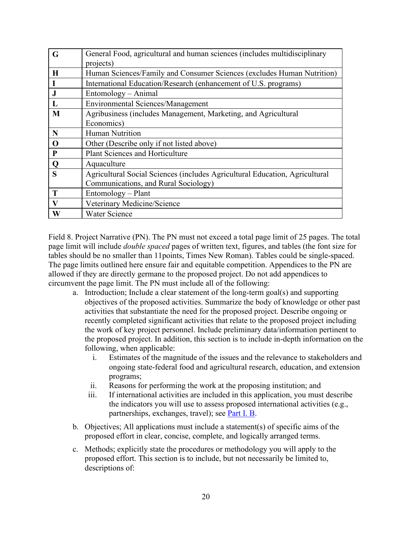| G | General Food, agricultural and human sciences (includes multidisciplinary   |
|---|-----------------------------------------------------------------------------|
|   | projects)                                                                   |
| H | Human Sciences/Family and Consumer Sciences (excludes Human Nutrition)      |
|   | International Education/Research (enhancement of U.S. programs)             |
|   | Entomology – Animal                                                         |
|   | <b>Environmental Sciences/Management</b>                                    |
| M | Agribusiness (includes Management, Marketing, and Agricultural              |
|   | Economics)                                                                  |
| N | <b>Human Nutrition</b>                                                      |
| O | Other (Describe only if not listed above)                                   |
| P | <b>Plant Sciences and Horticulture</b>                                      |
| Q | Aquaculture                                                                 |
| S | Agricultural Social Sciences (includes Agricultural Education, Agricultural |
|   | Communications, and Rural Sociology)                                        |
| T | Entomology – Plant                                                          |
| V | Veterinary Medicine/Science                                                 |
| W | <b>Water Science</b>                                                        |

Field 8. Project Narrative (PN). The PN must not exceed a total page limit of 25 pages. The total page limit will include *double spaced* pages of written text, figures, and tables (the font size for tables should be no smaller than 11points, Times New Roman). Tables could be single-spaced. The page limits outlined here ensure fair and equitable competition. Appendices to the PN are allowed if they are directly germane to the proposed project. Do not add appendices to circumvent the page limit. The PN must include all of the following:

- a. Introduction; Include a clear statement of the long-term goal(s) and supporting objectives of the proposed activities. Summarize the body of knowledge or other past activities that substantiate the need for the proposed project. Describe ongoing or recently completed significant activities that relate to the proposed project including the work of key project personnel. Include preliminary data/information pertinent to the proposed project. In addition, this section is to include in-depth information on the following, when applicable:
	- i. Estimates of the magnitude of the issues and the relevance to stakeholders and ongoing state-federal food and agricultural research, education, and extension programs;
	- ii. Reasons for performing the work at the proposing institution; and
	- iii. If international activities are included in this application, you must describe the indicators you will use to assess proposed international activities (e.g., partnerships, exchanges, travel); see [Part I. B.](#page-5-2)
- b. Objectives; All applications must include a statement(s) of specific aims of the proposed effort in clear, concise, complete, and logically arranged terms.
- c. Methods; explicitly state the procedures or methodology you will apply to the proposed effort. This section is to include, but not necessarily be limited to, descriptions of: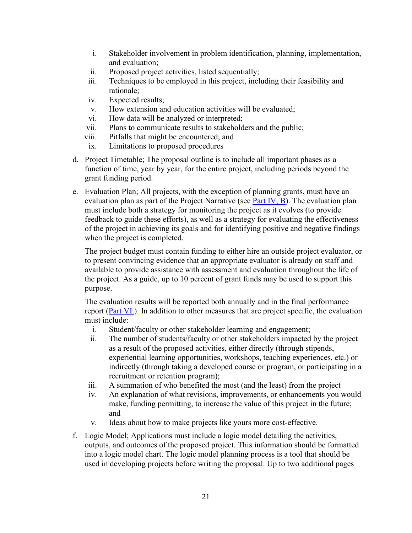- i. Stakeholder involvement in problem identification, planning, implementation, and evaluation;
- ii. Proposed project activities, listed sequentially;
- iii. Techniques to be employed in this project, including their feasibility and rationale;
- iv. Expected results;
- v. How extension and education activities will be evaluated;
- vi. How data will be analyzed or interpreted;
- vii. Plans to communicate results to stakeholders and the public;
- viii. Pitfalls that might be encountered; and
- ix. Limitations to proposed procedures
- d. Project Timetable; The proposal outline is to include all important phases as a function of time, year by year, for the entire project, including periods beyond the grant funding period.
- e. Evaluation Plan; All projects, with the exception of planning grants, must have an evaluation plan as part of the Project Narrative (see [Part IV, B\)](#page-17-2). The evaluation plan must include both a strategy for monitoring the project as it evolves (to provide feedback to guide these efforts), as well as a strategy for evaluating the effectiveness of the project in achieving its goals and for identifying positive and negative findings when the project is completed.

The project budget must contain funding to either hire an outside project evaluator, or to present convincing evidence that an appropriate evaluator is already on staff and available to provide assistance with assessment and evaluation throughout the life of the project. As a guide, up to 10 percent of grant funds may be used to support this purpose.

The evaluation results will be reported both annually and in the final performance report [\(Part VI.\)](#page-26-2). In addition to other measures that are project specific, the evaluation must include:

- i. Student/faculty or other stakeholder learning and engagement;
- ii. The number of students/faculty or other stakeholders impacted by the project as a result of the proposed activities, either directly (through stipends, experiential learning opportunities, workshops, teaching experiences, etc.) or indirectly (through taking a developed course or program, or participating in a recruitment or retention program);
- iii. A summation of who benefited the most (and the least) from the project
- iv. An explanation of what revisions, improvements, or enhancements you would make, funding permitting, to increase the value of this project in the future; and
- v. Ideas about how to make projects like yours more cost-effective.
- f. Logic Model; Applications must include a logic model detailing the activities, outputs, and outcomes of the proposed project. This information should be formatted into a logic model chart. The logic model planning process is a tool that should be used in developing projects before writing the proposal. Up to two additional pages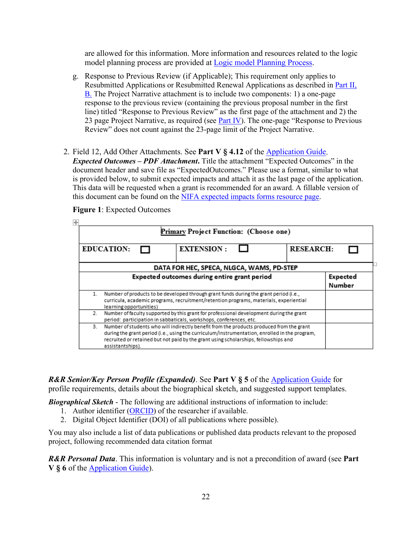are allowed for this information. More information and resources related to the logic model planning process are provided at [Logic model Planning Process.](https://nifa.usda.gov/resource/logic-model-planning-process)

- g. Response to Previous Review (if Applicable); This requirement only applies to Resubmitted Applications or Resubmitted Renewal Applications as described in [Part II,](#page-8-2)  [B.](#page-8-2) The Project Narrative attachment is to include two components: 1) a one-page response to the previous review (containing the previous proposal number in the first line) titled "Response to Previous Review" as the first page of the attachment and 2) the 23 page Project Narrative, as required (see [Part IV\)](#page-17-2). The one-page "Response to Previous Review" does not count against the 23-page limit of the Project Narrative.
- 2. Field 12, Add Other Attachments. See **Part V § 4.12** of the [Application Guide.](https://apply07.grants.gov/apply/opportunities/instructions/PKG00249520-instructions.pdf) *Expected Outcomes – PDF Attachment***.** Title the attachment "Expected Outcomes" in the document header and save file as "ExpectedOutcomes." Please use a format, similar to what is provided below, to submit expected impacts and attach it as the last page of the application. This data will be requested when a grant is recommended for an award. A fillable version of

#### <span id="page-21-0"></span>this document can be found on the [NIFA expected impacts forms resource page.](https://nifa.usda.gov/resource/recommended-format-submitting-expected-impacts)

| ஈ<br>Primary Project Function: (Choose one) |                                              |                                                                                                                                                                                                                                                                                  |                  |                    |
|---------------------------------------------|----------------------------------------------|----------------------------------------------------------------------------------------------------------------------------------------------------------------------------------------------------------------------------------------------------------------------------------|------------------|--------------------|
|                                             | <b>EDUCATION:</b>                            | <b>EXTENSION:</b>                                                                                                                                                                                                                                                                | <b>RESEARCH:</b> |                    |
|                                             | DATA FOR HEC, SPECA, NLGCA, WAMS, PD-STEP    |                                                                                                                                                                                                                                                                                  |                  |                    |
|                                             | Expected outcomes during entire grant period |                                                                                                                                                                                                                                                                                  |                  | Expected<br>Number |
| 1.                                          | learning opportunities)                      | Number of products to be developed through grant funds during the grant period (i.e.,<br>curricula, academic programs, recruitment/retention programs, materials, experiential                                                                                                   |                  |                    |
| 2.                                          |                                              | Number of faculty supported by this grant for professional development during the grant<br>period: participation in sabbaticals, workshops, conferences, etc.                                                                                                                    |                  |                    |
| 3.                                          | assistantships).                             | Number of students who will indirectly benefit from the products produced from the grant<br>during the grant period (i.e., using the curriculum/instrumentation, enrolled in the program,<br>recruited or retained but not paid by the grant using scholarships, fellowships and |                  |                    |

#### **Figure 1**: Expected Outcomes

*R&R Senior/Key Person Profile (Expanded)*. See **Part V § 5** of the [Application Guide](https://apply07.grants.gov/apply/opportunities/instructions/PKG00249520-instructions.pdf) for

profile requirements, details about the biographical sketch, and suggested support templates.

*Biographical Sketch* - The following are additional instructions of information to include:

- 1. Author identifier [\(ORCID\)](https://orcid.org/) of the researcher if available.
- 2. Digital Object Identifier (DOI) of all publications where possible).

You may also include a list of data publications or published data products relevant to the proposed project, following recommended data citation format

*R&R Personal Data*. This information is voluntary and is not a precondition of award (see **Part V § 6** of the [Application Guide\)](https://apply07.grants.gov/apply/opportunities/instructions/PKG00249520-instructions.pdf).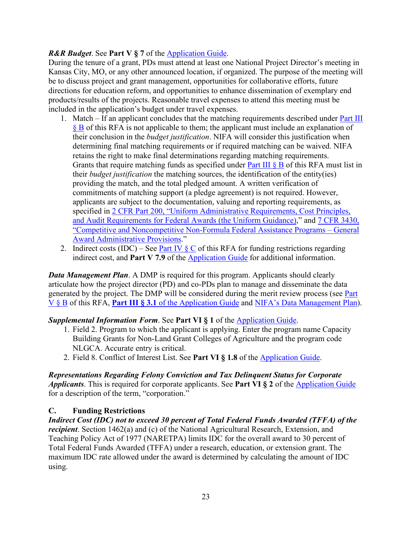## *R&R Budget*. See **Part V § 7** of the [Application Guide.](https://apply07.grants.gov/apply/opportunities/instructions/PKG00249520-instructions.pdf)

During the tenure of a grant, PDs must attend at least one National Project Director's meeting in Kansas City, MO, or any other announced location, if organized. The purpose of the meeting will be to discuss project and grant management, opportunities for collaborative efforts, future directions for education reform, and opportunities to enhance dissemination of exemplary end products/results of the projects. Reasonable travel expenses to attend this meeting must be included in the application's budget under travel expenses.

- 1. Match If an applicant concludes that the matching requirements described under [Part III](#page-16-0)  [§ B](#page-16-0) of this RFA is not applicable to them; the applicant must include an explanation of their conclusion in the *budget justification*. NIFA will consider this justification when determining final matching requirements or if required matching can be waived. NIFA retains the right to make final determinations regarding matching requirements. Grants that require matching funds as specified under Part III  $\S$  B of this RFA must list in their *budget justification* the matching sources, the identification of the entity(ies) providing the match, and the total pledged amount. A written verification of commitments of matching support (a pledge agreement) is not required. However, applicants are subject to the documentation, valuing and reporting requirements, as specified in [2 CFR Part 200, "Uniform Administrative Requirements, Cost Principles,](https://www.ecfr.gov/cgi-bin/text-idx?SID=39448527cdd5ebd0a063b91b8b44f0f5&mc=true&node=pt2.1.200&rgn=div5)  [and Audit Requirements for Federal Awards \(the Uniform Guidance\),](https://www.ecfr.gov/cgi-bin/text-idx?SID=39448527cdd5ebd0a063b91b8b44f0f5&mc=true&node=pt2.1.200&rgn=div5)" and [7 CFR 3430,](https://ecfr.io/Title-07/pt7.15.3430)  ["Competitive and Noncompetitive Non-Formula Federal Assistance Programs –](https://ecfr.io/Title-07/pt7.15.3430) General [Award Administrative Provisions.](https://ecfr.io/Title-07/pt7.15.3430)"
- 2. Indirect costs (IDC) See Part IV  $\&$  C of this RFA for funding restrictions regarding indirect cost, and **Part V 7.9** of the [Application Guide](https://apply07.grants.gov/apply/opportunities/instructions/PKG00249520-instructions.pdf) for additional information.

*Data Management Plan*. A DMP is required for this program. Applicants should clearly articulate how the project director (PD) and co-PDs plan to manage and disseminate the data generated by the project. The DMP will be considered during the merit review process (see [Part](#page-24-2)  [V § B](#page-24-2) of this RFA, **Part III § 3.1** of the [Application Guide](https://apply07.grants.gov/apply/opportunities/instructions/PKG00249520-instructions.pdf) and NIFA's Data [Management Plan\)](https://nifa.usda.gov/resource/data-management-plan-nifa-funded-research-projects).

#### *Supplemental Information Form*. See **Part VI § 1** of the [Application Guide.](https://apply07.grants.gov/apply/opportunities/instructions/PKG00249520-instructions.pdf)

- 1. Field 2. Program to which the applicant is applying. Enter the program name Capacity Building Grants for Non-Land Grant Colleges of Agriculture and the program code NLGCA. Accurate entry is critical.
- 2. Field 8. Conflict of Interest List. See **Part VI § 1.8** of the [Application Guide.](https://apply07.grants.gov/apply/opportunities/instructions/PKG00249520-instructions.pdf)

#### *Representations Regarding Felony Conviction and Tax Delinquent Status for Corporate*

*Applicants*. This is required for corporate applicants. See **Part VI § 2** of the [Application Guide](https://apply07.grants.gov/apply/opportunities/instructions/PKG00249520-instructions.pdf) for a description of the term, "corporation."

## <span id="page-22-0"></span>**C. Funding Restrictions**

*Indirect Cost (IDC) not to exceed 30 percent of Total Federal Funds Awarded (TFFA) of the recipient*. Section 1462(a) and (c) of the National Agricultural Research, Extension, and Teaching Policy Act of 1977 (NARETPA) limits IDC for the overall award to 30 percent of Total Federal Funds Awarded (TFFA) under a research, education, or extension grant. The maximum IDC rate allowed under the award is determined by calculating the amount of IDC using.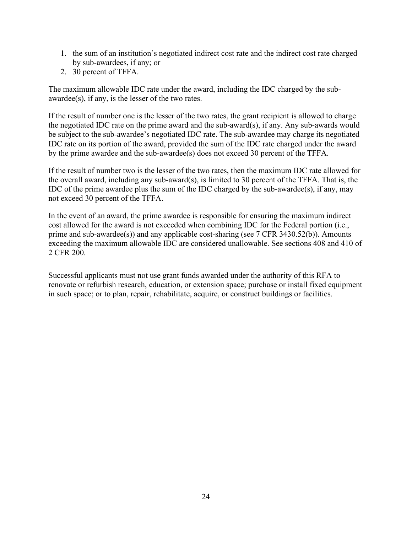- 1. the sum of an institution's negotiated indirect cost rate and the indirect cost rate charged by sub-awardees, if any; or
- 2. 30 percent of TFFA.

The maximum allowable IDC rate under the award, including the IDC charged by the subawardee(s), if any, is the lesser of the two rates.

If the result of number one is the lesser of the two rates, the grant recipient is allowed to charge the negotiated IDC rate on the prime award and the sub-award(s), if any. Any sub-awards would be subject to the sub-awardee's negotiated IDC rate. The sub-awardee may charge its negotiated IDC rate on its portion of the award, provided the sum of the IDC rate charged under the award by the prime awardee and the sub-awardee(s) does not exceed 30 percent of the TFFA.

If the result of number two is the lesser of the two rates, then the maximum IDC rate allowed for the overall award, including any sub-award(s), is limited to 30 percent of the TFFA. That is, the IDC of the prime awardee plus the sum of the IDC charged by the sub-awardee(s), if any, may not exceed 30 percent of the TFFA.

In the event of an award, the prime awardee is responsible for ensuring the maximum indirect cost allowed for the award is not exceeded when combining IDC for the Federal portion (i.e., prime and sub-awardee(s)) and any applicable cost-sharing (see 7 CFR 3430.52(b)). Amounts exceeding the maximum allowable IDC are considered unallowable. See sections 408 and 410 of 2 CFR 200.

Successful applicants must not use grant funds awarded under the authority of this RFA to renovate or refurbish research, education, or extension space; purchase or install fixed equipment in such space; or to plan, repair, rehabilitate, acquire, or construct buildings or facilities.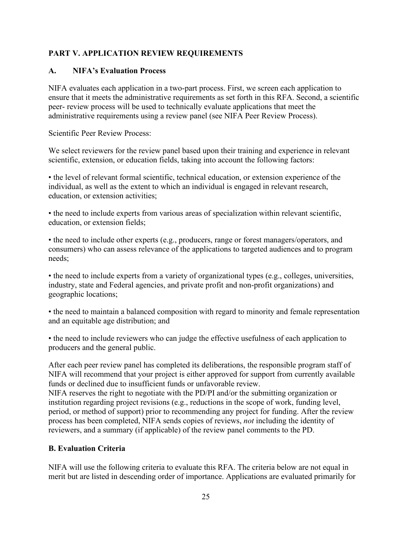## <span id="page-24-0"></span>**PART V. APPLICATION REVIEW REQUIREMENTS**

## <span id="page-24-1"></span>**A. NIFA's Evaluation Process**

NIFA evaluates each application in a two-part process. First, we screen each application to ensure that it meets the administrative requirements as set forth in this RFA. Second, a scientific peer- review process will be used to technically evaluate applications that meet the administrative requirements using a review panel (see NIFA Peer Review Process).

Scientific Peer Review Process:

We select reviewers for the review panel based upon their training and experience in relevant scientific, extension, or education fields, taking into account the following factors:

• the level of relevant formal scientific, technical education, or extension experience of the individual, as well as the extent to which an individual is engaged in relevant research, education, or extension activities;

• the need to include experts from various areas of specialization within relevant scientific, education, or extension fields;

• the need to include other experts (e.g., producers, range or forest managers/operators, and consumers) who can assess relevance of the applications to targeted audiences and to program needs;

• the need to include experts from a variety of organizational types (e.g., colleges, universities, industry, state and Federal agencies, and private profit and non-profit organizations) and geographic locations;

• the need to maintain a balanced composition with regard to minority and female representation and an equitable age distribution; and

• the need to include reviewers who can judge the effective usefulness of each application to producers and the general public.

After each peer review panel has completed its deliberations, the responsible program staff of NIFA will recommend that your project is either approved for support from currently available funds or declined due to insufficient funds or unfavorable review.

NIFA reserves the right to negotiate with the PD/PI and/or the submitting organization or institution regarding project revisions (e.g., reductions in the scope of work, funding level, period, or method of support) prior to recommending any project for funding. After the review process has been completed, NIFA sends copies of reviews, *not* including the identity of reviewers, and a summary (if applicable) of the review panel comments to the PD.

#### <span id="page-24-2"></span>**B. Evaluation Criteria**

NIFA will use the following criteria to evaluate this RFA. The criteria below are not equal in merit but are listed in descending order of importance. Applications are evaluated primarily for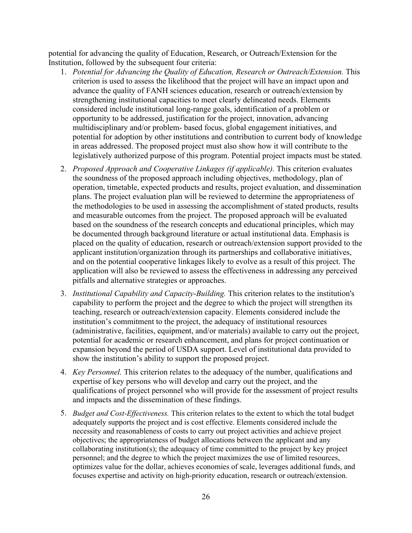potential for advancing the quality of Education, Research, or Outreach/Extension for the Institution, followed by the subsequent four criteria:

- 1. *Potential for Advancing the Quality of Education, Research or Outreach/Extension.* This criterion is used to assess the likelihood that the project will have an impact upon and advance the quality of FANH sciences education, research or outreach/extension by strengthening institutional capacities to meet clearly delineated needs. Elements considered include institutional long-range goals, identification of a problem or opportunity to be addressed, justification for the project, innovation, advancing multidisciplinary and/or problem- based focus, global engagement initiatives, and potential for adoption by other institutions and contribution to current body of knowledge in areas addressed. The proposed project must also show how it will contribute to the legislatively authorized purpose of this program. Potential project impacts must be stated.
- 2. *Proposed Approach and Cooperative Linkages (if applicable).* This criterion evaluates the soundness of the proposed approach including objectives, methodology, plan of operation, timetable, expected products and results, project evaluation, and dissemination plans. The project evaluation plan will be reviewed to determine the appropriateness of the methodologies to be used in assessing the accomplishment of stated products, results and measurable outcomes from the project. The proposed approach will be evaluated based on the soundness of the research concepts and educational principles, which may be documented through background literature or actual institutional data. Emphasis is placed on the quality of education, research or outreach/extension support provided to the applicant institution/organization through its partnerships and collaborative initiatives, and on the potential cooperative linkages likely to evolve as a result of this project. The application will also be reviewed to assess the effectiveness in addressing any perceived pitfalls and alternative strategies or approaches.
- 3. *Institutional Capability and Capacity-Building.* This criterion relates to the institution's capability to perform the project and the degree to which the project will strengthen its teaching, research or outreach/extension capacity. Elements considered include the institution's commitment to the project, the adequacy of institutional resources (administrative, facilities, equipment, and/or materials) available to carry out the project, potential for academic or research enhancement, and plans for project continuation or expansion beyond the period of USDA support. Level of institutional data provided to show the institution's ability to support the proposed project.
- 4. *Key Personnel.* This criterion relates to the adequacy of the number, qualifications and expertise of key persons who will develop and carry out the project, and the qualifications of project personnel who will provide for the assessment of project results and impacts and the dissemination of these findings.
- 5. *Budget and Cost-Effectiveness.* This criterion relates to the extent to which the total budget adequately supports the project and is cost effective. Elements considered include the necessity and reasonableness of costs to carry out project activities and achieve project objectives; the appropriateness of budget allocations between the applicant and any collaborating institution(s); the adequacy of time committed to the project by key project personnel; and the degree to which the project maximizes the use of limited resources, optimizes value for the dollar, achieves economies of scale, leverages additional funds, and focuses expertise and activity on high-priority education, research or outreach/extension.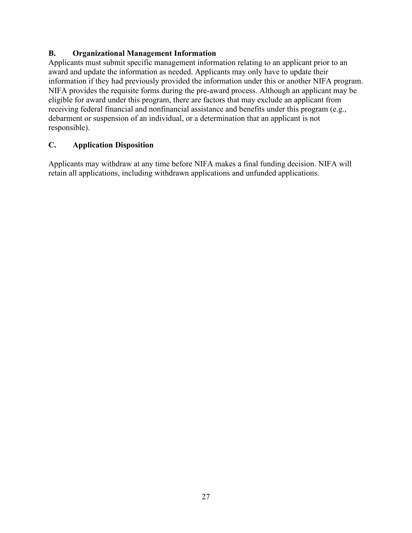## <span id="page-26-0"></span>**B. Organizational Management Information**

Applicants must submit specific management information relating to an applicant prior to an award and update the information as needed. Applicants may only have to update their information if they had previously provided the information under this or another NIFA program. NIFA provides the requisite forms during the pre-award process. Although an applicant may be eligible for award under this program, there are factors that may exclude an applicant from receiving federal financial and nonfinancial assistance and benefits under this program (e.g., debarment or suspension of an individual, or a determination that an applicant is not responsible).

## <span id="page-26-1"></span>**C. Application Disposition**

<span id="page-26-2"></span>Applicants may withdraw at any time before NIFA makes a final funding decision. NIFA will retain all applications, including withdrawn applications and unfunded applications.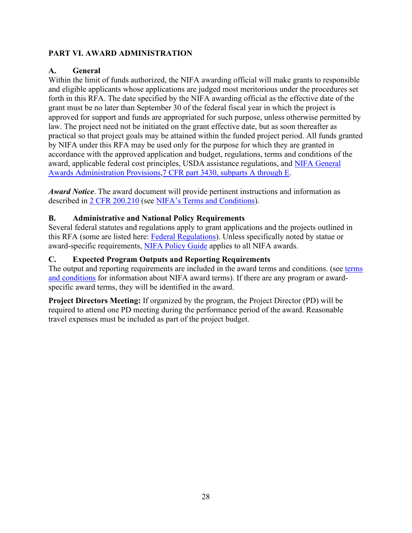## <span id="page-27-0"></span>**PART VI. AWARD ADMINISTRATION**

## <span id="page-27-1"></span>**A. General**

Within the limit of funds authorized, the NIFA awarding official will make grants to responsible and eligible applicants whose applications are judged most meritorious under the procedures set forth in this RFA. The date specified by the NIFA awarding official as the effective date of the grant must be no later than September 30 of the federal fiscal year in which the project is approved for support and funds are appropriated for such purpose, unless otherwise permitted by law. The project need not be initiated on the grant effective date, but as soon thereafter as practical so that project goals may be attained within the funded project period. All funds granted by NIFA under this RFA may be used only for the purpose for which they are granted in accordance with the approved application and budget, regulations, terms and conditions of the award, applicable federal cost principles, USDA assistance regulations, and [NIFA General](https://ecfr.io/Title-07/pt7.15.3430)  [Awards Administration Provisions,7 CFR part 3430, subparts A through E.](https://ecfr.io/Title-07/pt7.15.3430)

*Award Notice*. The award document will provide pertinent instructions and information as described in [2 CFR 200.210](https://www.ecfr.gov/cgi-bin/text-idx?SID=70b44cfc44976f4a7742464f7cfbb37e&mc=true&node=se2.1.200_1210&rgn=div8) (see [NIFA's Terms and Conditions\)](https://nifa.usda.gov/terms-and-conditions).

## <span id="page-27-2"></span>**B. Administrative and National Policy Requirements**

Several federal statutes and regulations apply to grant applications and the projects outlined in this RFA (some are listed here: [Federal Regulations\)](https://nifa.usda.gov/federal-regulations). Unless specifically noted by statue or award-specific requirements, [NIFA Policy Guide](https://nifa.usda.gov/policy-guide) applies to all NIFA awards.

## <span id="page-27-3"></span>**C. Expected Program Outputs and Reporting Requirements**

The output and reporting requirements are included in the award terms and conditions. (see [terms](https://nifa.usda.gov/terms-and-conditions)  [and conditions](https://nifa.usda.gov/terms-and-conditions) for information about NIFA award terms). If there are any program or awardspecific award terms, they will be identified in the award.

**Project Directors Meeting:** If organized by the program, the Project Director (PD) will be required to attend one PD meeting during the performance period of the award. Reasonable travel expenses must be included as part of the project budget.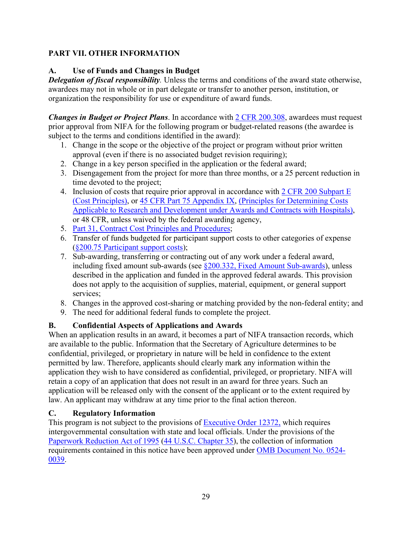## <span id="page-28-0"></span>**PART VII. OTHER INFORMATION**

## <span id="page-28-1"></span>**A. Use of Funds and Changes in Budget**

*Delegation of fiscal responsibility.* Unless the terms and conditions of the award state otherwise, awardees may not in whole or in part delegate or transfer to another person, institution, or organization the responsibility for use or expenditure of award funds.

*Changes in Budget or Project Plans.* In accordance with  $2$  CFR 200.308, awardees must request prior approval from NIFA for the following program or budget-related reasons (the awardee is subject to the terms and conditions identified in the award):

- 1. Change in the scope or the objective of the project or program without prior written approval (even if there is no associated budget revision requiring);
- 2. Change in a key person specified in the application or the federal award;
- 3. Disengagement from the project for more than three months, or a 25 percent reduction in time devoted to the project;
- 4. Inclusion of costs that require prior approval in accordance with [2 CFR 200 Subpart E](https://ecfr.io/Title-02/sp2.1.200.e) [\(Cost Principles\),](https://ecfr.io/Title-02/sp2.1.200.e) or [45 CFR Part 75 Appendix IX,](https://www.ecfr.gov/cgi-bin/text-idx?node=pt45.1.75#ap45.1.75_1521.ix) [\(Principles for Determining Costs](https://www.ecfr.gov/cgi-bin/text-idx?node=pt45.1.75#ap45.1.75_1521.ix)  Applicable to [Research and Development under Awards and Contracts with Hospitals\)](https://www.ecfr.gov/cgi-bin/text-idx?node=pt45.1.75#ap45.1.75_1521.ix), or 48 CFR, unless waived by the federal awarding agency,
- 5. Part 31, [Contract Cost Principles and Procedures;](https://ecfr.io/Title-48/pt48.1.31)
- 6. Transfer of funds budgeted for participant support costs to other categories of expense (§200.75 [Participant support costs\)](http://federal.elaws.us/cfr/title2.part200.section200.75);
- 7. Sub-awarding, transferring or contracting out of any work under a federal award, including fixed amount sub-awards (see §200.332, [Fixed Amount](http://www.federal.elaws.us/cfr/title2.part200.section200.332) Sub-awards), unless described in the application and funded in the approved federal awards. This provision does not apply to the acquisition of supplies, material, equipment, or general support services;
- 8. Changes in the approved cost-sharing or matching provided by the non-federal entity; and
- 9. The need for additional federal funds to complete the project.

## <span id="page-28-2"></span>**B. Confidential Aspects of Applications and Awards**

When an application results in an award, it becomes a part of NIFA transaction records, which are available to the public. Information that the Secretary of Agriculture determines to be confidential, privileged, or proprietary in nature will be held in confidence to the extent permitted by law. Therefore, applicants should clearly mark any information within the application they wish to have considered as confidential, privileged, or proprietary. NIFA will retain a copy of an application that does not result in an award for three years. Such an application will be released only with the consent of the applicant or to the extent required by law. An applicant may withdraw at any time prior to the final action thereon.

## <span id="page-28-3"></span>**C. Regulatory Information**

This program is not subject to the provisions of [Executive Order 12372,](https://www.fws.gov/policy/library/rgeo12372.pdf) which requires intergovernmental consultation with state and local officials. Under the provisions of the [Paperwork Reduction Act of 1995](https://www.reginfo.gov/public/reginfo/pra.pdf) [\(44 U.S.C. Chapter 35\)](http://uscode.house.gov/view.xhtml?path=/prelim@title44/chapter35&edition=prelim), the collection of information requirements contained in this notice have been approved under [OMB Document No. 0524-](https://www.federalregister.gov/documents/2018/10/29/2018-23552/submission-for-omb-review-comment-request) [0039.](https://www.federalregister.gov/documents/2018/10/29/2018-23552/submission-for-omb-review-comment-request)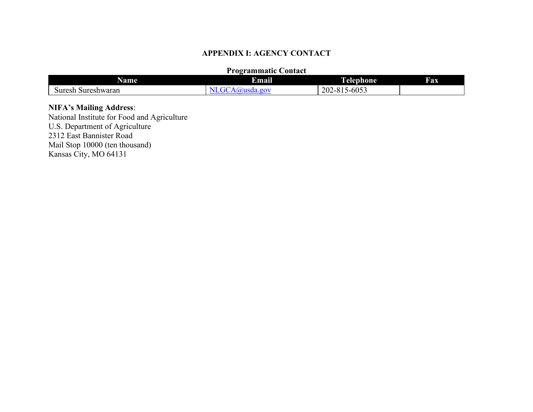## **APPENDIX I: AGENCY CONTACT**

#### **Programmatic Contact**

| Name                  | . .<br>Email                | J<br>1 elephone.                               | <b>Fax</b> |
|-----------------------|-----------------------------|------------------------------------------------|------------|
| Sureshwaran<br>Suresh | $\sigma$ <sub>o</sub><br>лэ | 5-6053<br>202-<br>$^{\sim}$<br>-<br>.<br>$-01$ |            |

#### **NIFA's Mailing Address**:

<span id="page-29-0"></span>National Institute for Food and Agriculture U.S. Department of Agriculture 2312 East Bannister Road Mail Stop 10000 (ten thousand) Kansas City, MO 64131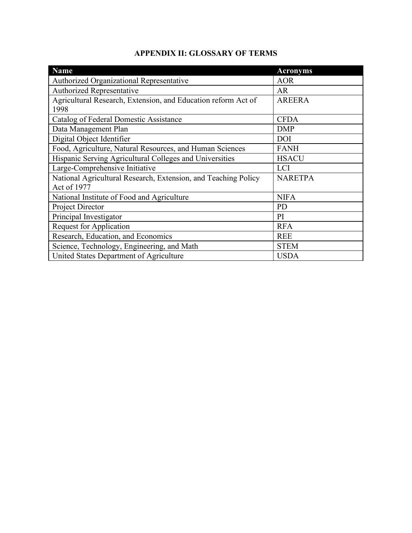| APPENDIX II: GLOSSARY OF TERMS |  |  |
|--------------------------------|--|--|
|--------------------------------|--|--|

<span id="page-30-0"></span>

| <b>Name</b>                                                                   | <b>Acronyms</b> |
|-------------------------------------------------------------------------------|-----------------|
| Authorized Organizational Representative                                      | <b>AOR</b>      |
| Authorized Representative                                                     | <b>AR</b>       |
| Agricultural Research, Extension, and Education reform Act of<br>1998         | <b>AREERA</b>   |
| Catalog of Federal Domestic Assistance                                        | <b>CFDA</b>     |
| Data Management Plan                                                          | <b>DMP</b>      |
| Digital Object Identifier                                                     | <b>DOI</b>      |
| Food, Agriculture, Natural Resources, and Human Sciences                      | <b>FANH</b>     |
| Hispanic Serving Agricultural Colleges and Universities                       | <b>HSACU</b>    |
| Large-Comprehensive Initiative                                                | <b>LCI</b>      |
| National Agricultural Research, Extension, and Teaching Policy<br>Act of 1977 | <b>NARETPA</b>  |
| National Institute of Food and Agriculture                                    | <b>NIFA</b>     |
| Project Director                                                              | <b>PD</b>       |
| Principal Investigator                                                        | PI              |
| <b>Request for Application</b>                                                | <b>RFA</b>      |
| Research, Education, and Economics                                            | <b>REE</b>      |
| Science, Technology, Engineering, and Math                                    | <b>STEM</b>     |
| United States Department of Agriculture                                       | <b>USDA</b>     |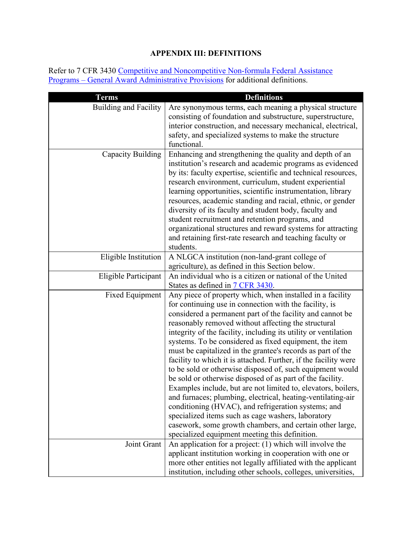# **APPENDIX III: DEFINITIONS**

<span id="page-31-0"></span>Refer to 7 CFR 3430 Competitive and Noncompetitive Non-formula Federal Assistance Programs – [General Award Administrative Provisions](https://www.ecfr.gov/cgi-bin/text-idx?c=ecfr&SID=2a6f6bfbef4c918616eebe5353d0793c&rgn=div5&view=text&node=7:15.1.12.2.13&idno=7#7:15.1.12.2.13.1.17.2) for additional definitions.

| <b>Terms</b>                 | <b>Definitions</b>                                                                                                                                                                                                                                                                                                                                                                                                                                                                                                                                                                                                                                                                                                                                                                                                                                                                                                                                                                          |
|------------------------------|---------------------------------------------------------------------------------------------------------------------------------------------------------------------------------------------------------------------------------------------------------------------------------------------------------------------------------------------------------------------------------------------------------------------------------------------------------------------------------------------------------------------------------------------------------------------------------------------------------------------------------------------------------------------------------------------------------------------------------------------------------------------------------------------------------------------------------------------------------------------------------------------------------------------------------------------------------------------------------------------|
| <b>Building and Facility</b> | Are synonymous terms, each meaning a physical structure<br>consisting of foundation and substructure, superstructure,<br>interior construction, and necessary mechanical, electrical,<br>safety, and specialized systems to make the structure<br>functional.                                                                                                                                                                                                                                                                                                                                                                                                                                                                                                                                                                                                                                                                                                                               |
| <b>Capacity Building</b>     | Enhancing and strengthening the quality and depth of an<br>institution's research and academic programs as evidenced<br>by its: faculty expertise, scientific and technical resources,<br>research environment, curriculum, student experiential<br>learning opportunities, scientific instrumentation, library<br>resources, academic standing and racial, ethnic, or gender<br>diversity of its faculty and student body, faculty and<br>student recruitment and retention programs, and<br>organizational structures and reward systems for attracting<br>and retaining first-rate research and teaching faculty or<br>students.                                                                                                                                                                                                                                                                                                                                                         |
| Eligible Institution         | A NLGCA institution (non-land-grant college of<br>agriculture), as defined in this Section below.                                                                                                                                                                                                                                                                                                                                                                                                                                                                                                                                                                                                                                                                                                                                                                                                                                                                                           |
| Eligible Participant         | An individual who is a citizen or national of the United<br>States as defined in 7 CFR 3430.                                                                                                                                                                                                                                                                                                                                                                                                                                                                                                                                                                                                                                                                                                                                                                                                                                                                                                |
| <b>Fixed Equipment</b>       | Any piece of property which, when installed in a facility<br>for continuing use in connection with the facility, is<br>considered a permanent part of the facility and cannot be<br>reasonably removed without affecting the structural<br>integrity of the facility, including its utility or ventilation<br>systems. To be considered as fixed equipment, the item<br>must be capitalized in the grantee's records as part of the<br>facility to which it is attached. Further, if the facility were<br>to be sold or otherwise disposed of, such equipment would<br>be sold or otherwise disposed of as part of the facility.<br>Examples include, but are not limited to, elevators, boilers,<br>and furnaces; plumbing, electrical, heating-ventilating-air<br>conditioning (HVAC), and refrigeration systems; and<br>specialized items such as cage washers, laboratory<br>casework, some growth chambers, and certain other large,<br>specialized equipment meeting this definition. |
| Joint Grant                  | An application for a project: $(1)$ which will involve the<br>applicant institution working in cooperation with one or                                                                                                                                                                                                                                                                                                                                                                                                                                                                                                                                                                                                                                                                                                                                                                                                                                                                      |
|                              | more other entities not legally affiliated with the applicant<br>institution, including other schools, colleges, universities,                                                                                                                                                                                                                                                                                                                                                                                                                                                                                                                                                                                                                                                                                                                                                                                                                                                              |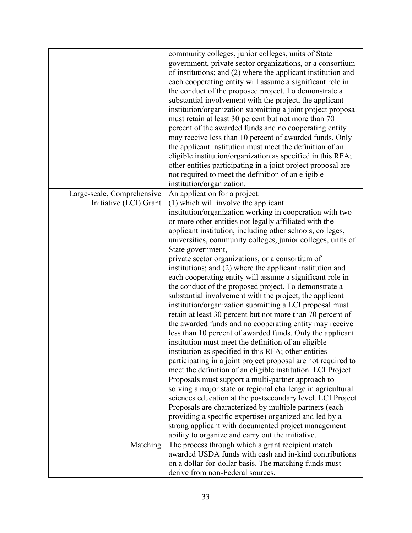|                            | community colleges, junior colleges, units of State<br>government, private sector organizations, or a consortium<br>of institutions; and (2) where the applicant institution and<br>each cooperating entity will assume a significant role in<br>the conduct of the proposed project. To demonstrate a<br>substantial involvement with the project, the applicant<br>institution/organization submitting a joint project proposal<br>must retain at least 30 percent but not more than 70<br>percent of the awarded funds and no cooperating entity<br>may receive less than 10 percent of awarded funds. Only<br>the applicant institution must meet the definition of an<br>eligible institution/organization as specified in this RFA;<br>other entities participating in a joint project proposal are<br>not required to meet the definition of an eligible<br>institution/organization. |
|----------------------------|----------------------------------------------------------------------------------------------------------------------------------------------------------------------------------------------------------------------------------------------------------------------------------------------------------------------------------------------------------------------------------------------------------------------------------------------------------------------------------------------------------------------------------------------------------------------------------------------------------------------------------------------------------------------------------------------------------------------------------------------------------------------------------------------------------------------------------------------------------------------------------------------|
| Large-scale, Comprehensive | An application for a project:                                                                                                                                                                                                                                                                                                                                                                                                                                                                                                                                                                                                                                                                                                                                                                                                                                                                |
| Initiative (LCI) Grant     | (1) which will involve the applicant                                                                                                                                                                                                                                                                                                                                                                                                                                                                                                                                                                                                                                                                                                                                                                                                                                                         |
|                            | institution/organization working in cooperation with two<br>or more other entities not legally affiliated with the<br>applicant institution, including other schools, colleges,<br>universities, community colleges, junior colleges, units of                                                                                                                                                                                                                                                                                                                                                                                                                                                                                                                                                                                                                                               |
|                            | State government,                                                                                                                                                                                                                                                                                                                                                                                                                                                                                                                                                                                                                                                                                                                                                                                                                                                                            |
|                            | private sector organizations, or a consortium of<br>institutions; and (2) where the applicant institution and                                                                                                                                                                                                                                                                                                                                                                                                                                                                                                                                                                                                                                                                                                                                                                                |
|                            | each cooperating entity will assume a significant role in                                                                                                                                                                                                                                                                                                                                                                                                                                                                                                                                                                                                                                                                                                                                                                                                                                    |
|                            | the conduct of the proposed project. To demonstrate a<br>substantial involvement with the project, the applicant                                                                                                                                                                                                                                                                                                                                                                                                                                                                                                                                                                                                                                                                                                                                                                             |
|                            | institution/organization submitting a LCI proposal must                                                                                                                                                                                                                                                                                                                                                                                                                                                                                                                                                                                                                                                                                                                                                                                                                                      |
|                            | retain at least 30 percent but not more than 70 percent of<br>the awarded funds and no cooperating entity may receive                                                                                                                                                                                                                                                                                                                                                                                                                                                                                                                                                                                                                                                                                                                                                                        |
|                            | less than 10 percent of awarded funds. Only the applicant                                                                                                                                                                                                                                                                                                                                                                                                                                                                                                                                                                                                                                                                                                                                                                                                                                    |
|                            | institution must meet the definition of an eligible                                                                                                                                                                                                                                                                                                                                                                                                                                                                                                                                                                                                                                                                                                                                                                                                                                          |
|                            | institution as specified in this RFA; other entities                                                                                                                                                                                                                                                                                                                                                                                                                                                                                                                                                                                                                                                                                                                                                                                                                                         |
|                            | participating in a joint project proposal are not required to<br>meet the definition of an eligible institution. LCI Project                                                                                                                                                                                                                                                                                                                                                                                                                                                                                                                                                                                                                                                                                                                                                                 |
|                            | Proposals must support a multi-partner approach to                                                                                                                                                                                                                                                                                                                                                                                                                                                                                                                                                                                                                                                                                                                                                                                                                                           |
|                            | solving a major state or regional challenge in agricultural                                                                                                                                                                                                                                                                                                                                                                                                                                                                                                                                                                                                                                                                                                                                                                                                                                  |
|                            | sciences education at the postsecondary level. LCI Project                                                                                                                                                                                                                                                                                                                                                                                                                                                                                                                                                                                                                                                                                                                                                                                                                                   |
|                            | Proposals are characterized by multiple partners (each                                                                                                                                                                                                                                                                                                                                                                                                                                                                                                                                                                                                                                                                                                                                                                                                                                       |
|                            | providing a specific expertise) organized and led by a                                                                                                                                                                                                                                                                                                                                                                                                                                                                                                                                                                                                                                                                                                                                                                                                                                       |
|                            | strong applicant with documented project management<br>ability to organize and carry out the initiative.                                                                                                                                                                                                                                                                                                                                                                                                                                                                                                                                                                                                                                                                                                                                                                                     |
| Matching                   | The process through which a grant recipient match                                                                                                                                                                                                                                                                                                                                                                                                                                                                                                                                                                                                                                                                                                                                                                                                                                            |
|                            | awarded USDA funds with cash and in-kind contributions                                                                                                                                                                                                                                                                                                                                                                                                                                                                                                                                                                                                                                                                                                                                                                                                                                       |
|                            | on a dollar-for-dollar basis. The matching funds must                                                                                                                                                                                                                                                                                                                                                                                                                                                                                                                                                                                                                                                                                                                                                                                                                                        |
|                            | derive from non-Federal sources.                                                                                                                                                                                                                                                                                                                                                                                                                                                                                                                                                                                                                                                                                                                                                                                                                                                             |